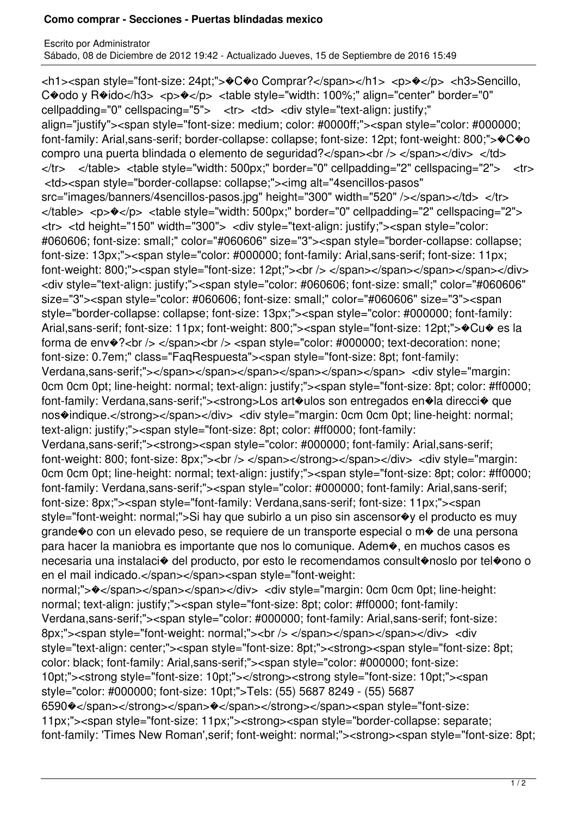## **Como comprar - Secciones - Puertas blindadas mexico**

Escrito por Administrator Sábado, 08 de Diciembre de 2012 19:42 - Actualizado Jueves, 15 de Septiembre de 2016 15:49

<h1><span style="font-size: 24pt;">�C�o Comprar?</span></h1> <p>�</p> <h3>Sencillo, C�odo y R�ido</h3> <p>�</p> <table style="width: 100%;" align="center" border="0" cellpadding="0" cellspacing="5"> <tr> <td> <div style="text-align: justify;" align="justify"><span style="font-size: medium; color: #0000ff;"><span style="color: #000000; font-family: Arial,sans-serif; border-collapse: collapse; font-size: 12pt; font-weight: 800;"> $\bigcirc \bigcirc \bigcirc$ o compro una puerta blindada o elemento de seguridad?</span><br/>>br />> </span></div> </td> </tr> </table> <table style="width: 500px;" border="0" cellpadding="2" cellspacing="2"> <tr> <td><span style="border-collapse: collapse;"><img alt="4sencillos-pasos" src="images/banners/4sencillos-pasos.jpg" height="300" width="520" /></span></td> </tr> </table> <p>�</p> <table style="width: 500px;" border="0" cellpadding="2" cellspacing="2"> <tr> <td height="150" width="300"> <div style="text-align: justify;"><span style="color: #060606; font-size: small;" color="#060606" size="3"><span style="border-collapse: collapse; font-size: 13px;"><span style="color: #000000; font-family: Arial,sans-serif; font-size: 11px; font-weight: 800;"><span style="font-size: 12pt;"><br />> </span></span></span></span></div> <div style="text-align: justify;"><span style="color: #060606; font-size: small;" color="#060606" size="3"><span style="color: #060606; font-size: small;" color="#060606" size="3"><span style="border-collapse: collapse; font-size: 13px;"><span style="color: #000000; font-family: Arial,sans-serif; font-size: 11px; font-weight: 800;"><span style="font-size: 12pt;">�Cu� es la forma de env $\circ$ ?<br />  $\le$ /span><br />>  $\le$  /span style="color: #000000; text-decoration: none; font-size: 0.7em;" class="FaqRespuesta"><span style="font-size: 8pt; font-family: Verdana,sans-serif;"></span></span></span></span></span></span> <div style="margin: 0cm 0cm 0pt; line-height: normal; text-align: justify;"><span style="font-size: 8pt; color: #ff0000; font-family: Verdana,sans-serif;"><strong>Los art�ulos son entregados en�la direcci� que nos�indique.</strong></span></div> <div style="margin: 0cm 0cm 0pt; line-height: normal; text-align: justify;"><span style="font-size: 8pt; color: #ff0000; font-family: Verdana,sans-serif;"><strong><span style="color: #000000; font-family: Arial,sans-serif; font-weight: 800; font-size: 8px;"><br />> </span></strong></span></div> <div style="margin: 0cm 0cm 0pt; line-height: normal; text-align: justify;"><span style="font-size: 8pt; color: #ff0000; font-family: Verdana,sans-serif;"><span style="color: #000000; font-family: Arial,sans-serif; font-size: 8px;"><span style="font-family: Verdana,sans-serif; font-size: 11px;"><span style="font-weight: normal;">Si hay que subirlo a un piso sin ascensor�y el producto es muy grande�o con un elevado peso, se requiere de un transporte especial o m� de una persona para hacer la maniobra es importante que nos lo comunique. Adem�, en muchos casos es necesaria una instalaci� del producto, por esto le recomendamos consult�noslo por tel�ono o en el mail indicado.</span></span><span style="font-weight: normal;"> $\rightarrow$ </span></span></span></div> <div style="margin: 0cm 0cm 0pt; line-height: normal; text-align: justify;"><span style="font-size: 8pt; color: #ff0000; font-family: Verdana,sans-serif;"><span style="color: #000000; font-family: Arial,sans-serif; font-size: 8px;"><span style="font-weight: normal;"><br /> </span></span></span></div> <div style="text-align: center;"><span style="font-size: 8pt;"><strong><span style="font-size: 8pt; color: black; font-family: Arial,sans-serif;"><span style="color: #000000; font-size: 10pt;"><strong style="font-size: 10pt;"></strong><strong style="font-size: 10pt;"><span style="color: #000000; font-size: 10pt;">Tels: (55) 5687 8249 - (55) 5687 6590�</span></strong></span>�</span></strong></span><span style="font-size: 11px;"><span style="font-size: 11px;"><strong><span style="border-collapse: separate; font-family: 'Times New Roman',serif; font-weight: normal;"><strong><span style="font-size: 8pt;